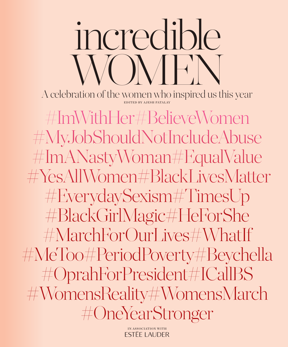A celebration of the women who inspired us this year

CIVIEN

incredible

#ImWithHer#BelieveWomen #MyJobShouldNotIncludeAbuse #ImANastyWoman#EqualValue #YesAllWomen#BlackLivesMatter #EverydaySexism#TimesUp #BlackGirlMagic#HeForShe #MarchForOurLives#WhatIf #MeToo#PeriodPoverty#Beychella #OprahForPresident#ICallBS #WomensReality#WomensMarch #OneYearStronger

> IN ASSOCIATION WITH **ESTEE LAUDER**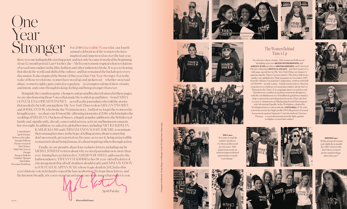# One Year<br>Stronger

For 2018's Incredible Women list, our fourth annual celebration of the women who have inspired and empowered us over the last year,

there was one indisputable starting point, and not only because it marked the beginning of our 12-month period. Last October, the #MeToo movement erupted when revelations of sexual misconduct in the film, fashion and other industries broke. It was a reckoning that shook the world and shifted the culture, and has remained the backdrop to every discussion. It also inspired the theme of this year's list: One Year Stronger. For in the wake of those revelations, women have stood up and spoken out – whether on sexual abuse, women's rights, gun control or equal pay – in an unprecedented show of unity and intent, and come through looking, feeling and being stronger than ever.

Alongside the countless game-changers and groundbreakers featured in these pages, we are also honoring those Voices that made the world stop and listen – from EMMA GONZALEZ to OPRAH WINFREY – as well as the journalists who told the stories that needed to be told, among them *The New York Times* writers MEGAN TWOHEY and JODI KANTOR, who broke the Weinstein story. And lest we forget the women who brought us joy – we share our 10 most life-affirming moments of 2018, which includes the wedding of MEGHAN, Duchess of Sussex, a hugely popular addition to the British royal family and, significantly, already a successful actress, activist and business woman in her own right. In addition, we asked six global heroines, including NICOLE KIDMAN,

Contributors Ajesh Patalay Rebecca Broadley Ananda Pellerin Picture research Kim Turney Nikki McClarron Design Imogen Bellotti Günther Spiegel Sub Editor Rosanna Steinberg

KARLIE KLOSS and CHIMAMANDA NGOZI ADICHIE, to nominate their unsung heroines, in the hope of telling stories about women that don't necessarily get reported on. Because, as we see it, being an incredible woman isn't about being famous, it's about inspiring others through action.

Finally, we are proud to share four exclusive letters, including one by MERYL STREEP written about why we need journalists now more than ever. Joining hers are letters by CAMERON RUSSELL addressed to the fashion industry, TIFFANY HADDISH to her 18-year-old self (a letter of encouragement that all self-doubters should read), and EMMA WATSON to SAVITA HALAPPANAVAR, whose tragic death in 2012 led to this

year's historic vote in Ireland to repeal the ban on abortion. We hope these letters, and the list more broadly, stir you to stand up and speak out on the issues that matter to you.

**Aiesh Patalay** 





**HILL** says "It is time to end the culture of silence. I've been at this work for 26 years. This moment presents us with an unprecedented opportunity to make real change.'













**RHIMES** says "If this group of women can't fight for a model for other women who don't have as much power and privilege, then who can?"